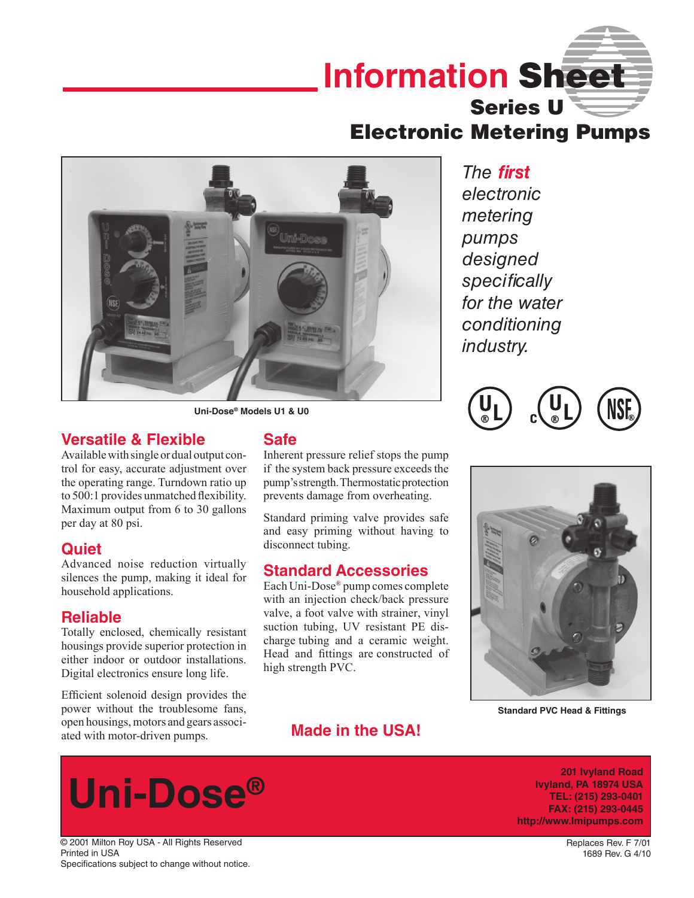## **Information** Sheet Series U

Electronic Metering Pumps



**Uni-Dose® Models U1 & U0**

#### **Versatile & Flexible**

Available with single or dual output control for easy, accurate adjustment over the operating range. Turndown ratio up to 500:1 provides unmatched flexibility. Maximum output from 6 to 30 gallons per day at 80 psi.

#### **Quiet**

Advanced noise reduction virtually silences the pump, making it ideal for household applications.

#### **Reliable**

Totally enclosed, chemically resistant housings provide superior protection in either indoor or outdoor installations. Digital electronics ensure long life.

Efficient solenoid design provides the power without the troublesome fans, open housings, motors and gears associated with motor-driven pumps.

#### **Safe**

Inherent pressure relief stops the pump if the system back pressure exceeds the pump's strength. Thermostatic protection prevents damage from overheating.

Standard priming valve provides safe and easy priming without having to disconnect tubing.

#### **Standard Accessories**

Each Uni-Dose® pump comes complete with an injection check/back pressure valve, a foot valve with strainer, vinyl suction tubing, UV resistant PE discharge tubing and a ceramic weight. Head and fittings are constructed of high strength PVC.

### **Made in the USA!**

*The first electronic metering pumps designed specifically for the water conditioning industry.*





**Standard PVC Head & Fittings**

# **Uni-Dose® 201 Ivyland Road 201 Ivyland Road 201 Ivyland Road 201 Ivyland Road 201 Ivyland Road PA 18974 USA**

© 2001 Milton Roy USA - All Rights Reserved Printed in USA Specifications subject to change without notice.

**Ivyland, PA 18974 USA TEL: (215) 293-0401 FAX: (215) 293-0445 http://www.lmipumps.com**

> Replaces Rev. F 7/01 1689 Rev. G 4/10